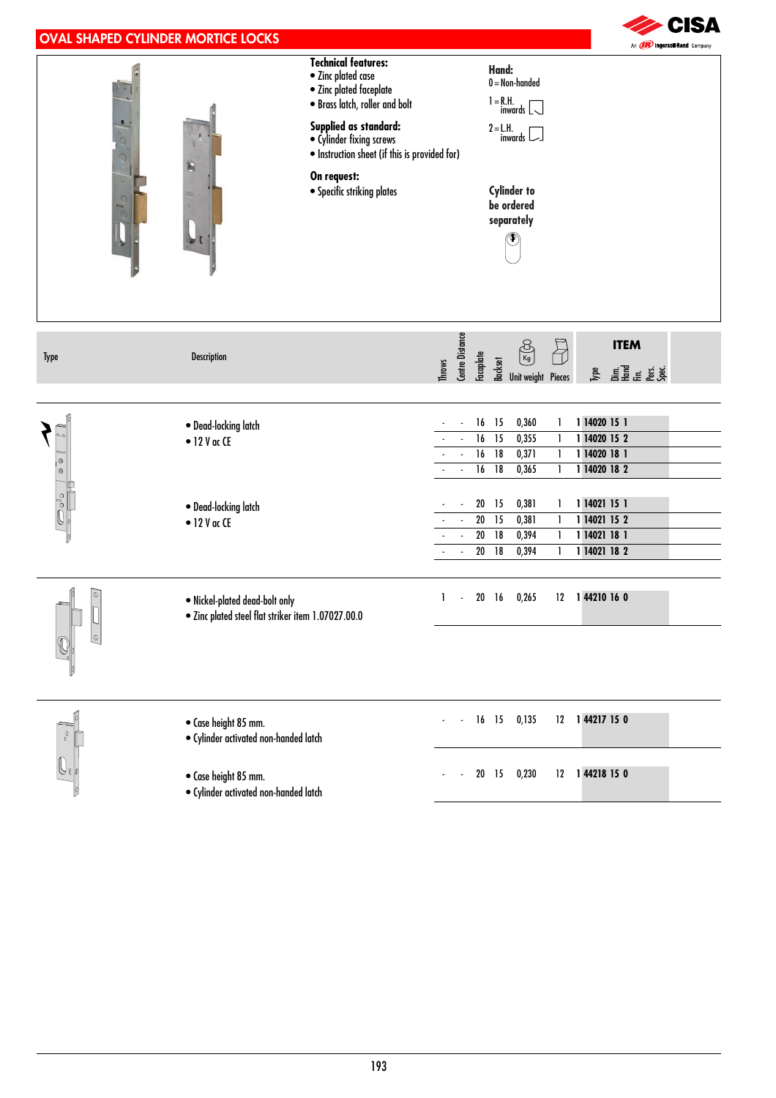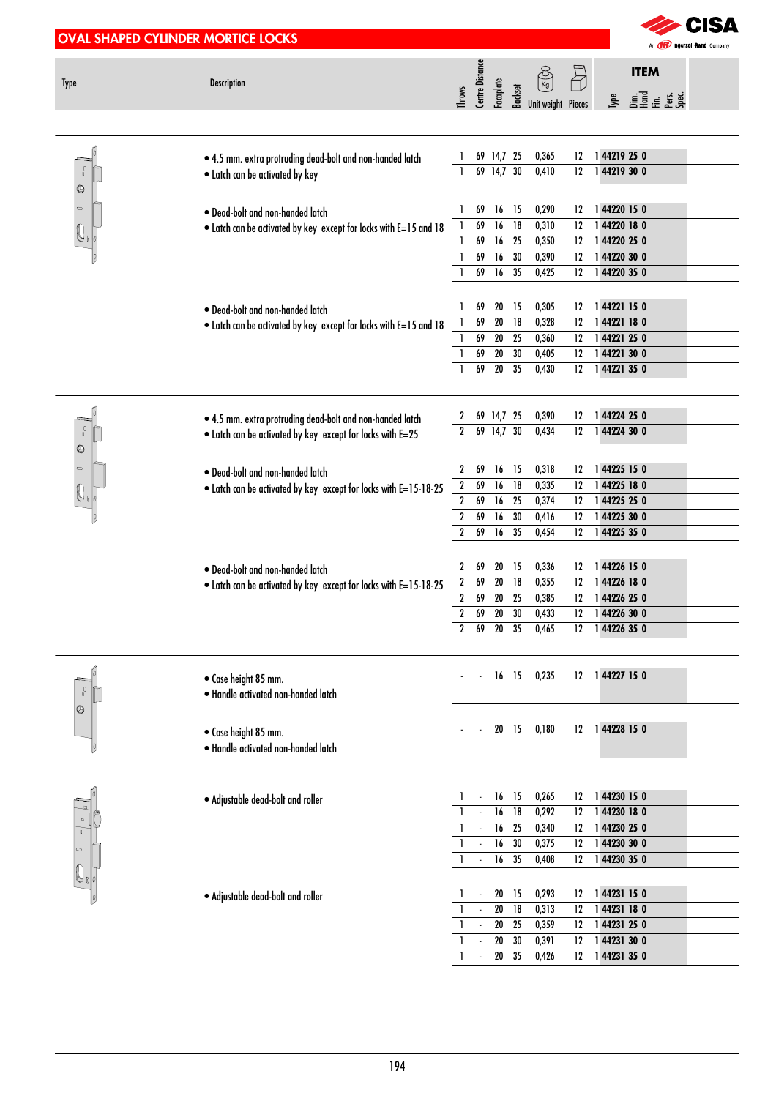|              | <b>OVAL SHAPED CYLINDER MORTICE LOCKS</b>                                                                               |                                  |                          |                                    |                       |                                                              |          |      |                             | SA                                   |
|--------------|-------------------------------------------------------------------------------------------------------------------------|----------------------------------|--------------------------|------------------------------------|-----------------------|--------------------------------------------------------------|----------|------|-----------------------------|--------------------------------------|
|              |                                                                                                                         |                                  |                          |                                    |                       |                                                              |          |      |                             | An <i>(IR)</i> Ingersol Rand Company |
|              | Description                                                                                                             |                                  | Centre Distance          |                                    |                       | 昌                                                            |          |      | <b>ITEM</b>                 |                                      |
| <b>Type</b>  |                                                                                                                         | Throws                           |                          | Facaplate                          |                       | $\frac{1}{2}$ $\frac{1}{2}$ $\frac{1}{2}$ Unit weight Pieces |          | Iype | 민준이 등<br>"블로 또 좋은           |                                      |
|              |                                                                                                                         |                                  |                          |                                    |                       |                                                              |          |      |                             |                                      |
|              |                                                                                                                         |                                  |                          |                                    |                       |                                                              |          |      |                             |                                      |
| $\int_0$     | . 4.5 mm. extra protruding dead-bolt and non-handed latch                                                               |                                  |                          | 69 14,7 25<br>69 14,7 30           |                       | 0,365<br>0,410                                               | 12<br>12 |      | 144219250<br>144219300      |                                      |
| 0            | • Latch can be activated by key                                                                                         |                                  |                          |                                    |                       |                                                              |          |      |                             |                                      |
| $\circ$      | · Dead-bolt and non-handed latch<br>. Latch can be activated by key except for locks with E=15 and 18                   |                                  | 69                       | $16$ 15                            |                       | 0,290                                                        | 12       |      | 144220 15 0                 |                                      |
|              |                                                                                                                         |                                  | 69                       | 16                                 | $\overline{18}$       | 0,310                                                        | 12       |      | 1 44220 18 0                |                                      |
|              |                                                                                                                         |                                  | 69                       | 16                                 | $\overline{25}$       | 0,350                                                        | 12       |      | 144220 25 0                 |                                      |
|              |                                                                                                                         |                                  | 69                       | 16                                 | 30                    | 0,390                                                        | 12       |      | 144220 30 0                 |                                      |
|              |                                                                                                                         |                                  | 69                       | 16                                 | $\overline{35}$       | 0,425                                                        | 12       |      | 144220 35 0                 |                                      |
|              | • Dead-bolt and non-handed latch<br>• Latch can be activated by key except for locks with E=15 and 18                   |                                  | 69                       | 20                                 | - 15                  | 0,305                                                        | 12       |      | 144221150                   |                                      |
|              |                                                                                                                         |                                  | 69                       | $\overline{20}$                    | $\overline{18}$       | 0,328                                                        | 12       |      | 144221180                   |                                      |
|              |                                                                                                                         |                                  | 69                       | $\overline{20}$                    | $\overline{25}$       | 0,360                                                        | 12       |      | 144221250                   |                                      |
|              |                                                                                                                         |                                  | 69                       | $\overline{20}$                    | 30                    | 0,405                                                        | 12       |      | 1 44221 30 0                |                                      |
|              |                                                                                                                         |                                  | 69                       | $20\quad 35$                       |                       | 0,430                                                        | 12       |      | 1 44221 35 0                |                                      |
|              |                                                                                                                         |                                  |                          |                                    |                       |                                                              |          |      |                             |                                      |
|              |                                                                                                                         | 2                                |                          | 69 14,7 25                         |                       | 0,390                                                        | 12       |      | 144224 25 0                 |                                      |
| $\mathbb{I}$ | . 4.5 mm. extra protruding dead-bolt and non-handed latch<br>. Latch can be activated by key except for locks with E=25 | $\mathbf{2}$                     |                          | 69 14,7 30                         |                       | 0,434                                                        | 12       |      | 144224 30 0                 |                                      |
| ◎            |                                                                                                                         |                                  |                          |                                    |                       |                                                              |          |      |                             |                                      |
| $\circ$      | · Dead-bolt and non-handed latch                                                                                        | 2                                | 69                       | $16$ 15                            |                       | 0,318                                                        | 12       |      | 144225 15 0                 |                                      |
|              | . Latch can be activated by key except for locks with E=15-18-25                                                        | $\boldsymbol{2}$                 | 69                       | 16                                 | 18                    | 0,335                                                        | 12       |      | 144225 18 0                 |                                      |
|              |                                                                                                                         | $\boldsymbol{2}$                 | 69                       | 16                                 | 25                    | 0,374                                                        | 12       |      | 1 44225 25 0                |                                      |
|              |                                                                                                                         | $\boldsymbol{2}$                 | 69                       | 16                                 | $30\,$                | 0,416                                                        | 12       |      | 1 44225 30 0                |                                      |
|              |                                                                                                                         | $\boldsymbol{2}$                 | 69                       | 16 35                              |                       | 0,454                                                        | 12       |      | 1 44225 35 0                |                                      |
|              |                                                                                                                         |                                  |                          |                                    |                       |                                                              |          |      |                             |                                      |
|              | • Dead-bolt and non-handed latch                                                                                        | $\mathbf{Z}$                     | 69<br>69                 | 20 15<br>$20\,$                    | 18                    | 0,336<br>0,355                                               | 12<br>12 |      | 144226 15 0<br>1 44226 18 0 |                                      |
|              | . Latch can be activated by key except for locks with E=15-18-25                                                        | $\mathbf{2}$<br>$\boldsymbol{2}$ | 69                       | $\overline{20}$                    | $\overline{25}$       | 0,385                                                        | 12       |      | 144226 25 0                 |                                      |
|              |                                                                                                                         | $\boldsymbol{2}$                 | 69                       | $20\,$                             | 30                    | 0,433                                                        | 12       |      | 144226 30 0                 |                                      |
|              |                                                                                                                         | $\mathbf{2}$                     | 69                       | 20 35                              |                       | 0,465                                                        | 12       |      | 144226 35 0                 |                                      |
|              |                                                                                                                         |                                  |                          |                                    |                       |                                                              |          |      |                             |                                      |
|              |                                                                                                                         |                                  |                          | 16 15                              |                       | 0,235                                                        | 12       |      | 144227 150                  |                                      |
| ŋ            | · Case height 85 mm.<br>· Handle activated non-handed latch                                                             |                                  |                          |                                    |                       |                                                              |          |      |                             |                                      |
| ©            |                                                                                                                         |                                  |                          |                                    |                       |                                                              |          |      |                             |                                      |
|              | · Case height 85 mm.                                                                                                    |                                  |                          | 20 15                              |                       | 0,180                                                        | $12 \,$  |      | 144228 15 0                 |                                      |
|              | · Handle activated non-handed latch                                                                                     |                                  |                          |                                    |                       |                                                              |          |      |                             |                                      |
|              |                                                                                                                         |                                  |                          |                                    |                       |                                                              |          |      |                             |                                      |
|              |                                                                                                                         |                                  |                          |                                    |                       |                                                              |          |      |                             |                                      |
| $\circ$      | · Adjustable dead-bolt and roller                                                                                       |                                  |                          | $16$ 15                            |                       | 0,265                                                        | 12       |      | 144230 15 0                 |                                      |
|              |                                                                                                                         |                                  |                          | $\overline{16}$                    | $\overline{18}$       | 0,292                                                        | 12       |      | 144230 18 0                 |                                      |
|              |                                                                                                                         |                                  |                          | $\overline{16}$<br>$\overline{16}$ | $\overline{25}$<br>30 | 0,340<br>0,375                                               | 12<br>12 |      | 144230 25 0<br>144230 30 0  |                                      |
|              |                                                                                                                         |                                  | $\overline{\phantom{a}}$ | 16                                 | $\overline{35}$       | 0,408                                                        | 12       |      | 144230 35 0                 |                                      |
|              |                                                                                                                         |                                  |                          |                                    |                       |                                                              |          |      |                             |                                      |
|              | · Adjustable dead-bolt and roller                                                                                       |                                  |                          | 20                                 | - 15                  | 0,293                                                        | 12       |      | 1 44231 15 0                |                                      |
|              |                                                                                                                         |                                  |                          | $\overline{20}$                    | $\overline{18}$       | 0,313                                                        | 12       |      | 1 44231 18 0                |                                      |
|              |                                                                                                                         |                                  |                          | $20\,$                             | 25                    | 0,359                                                        | 12       |      | 1 44231 25 0                |                                      |
|              |                                                                                                                         |                                  |                          | $20\,$                             | $30\,$                | 0,391                                                        | 12       |      | 1 44231 30 0                |                                      |
|              |                                                                                                                         |                                  |                          | $20\,$                             | 35                    | 0,426                                                        | 12       |      | 1 44231 35 0                |                                      |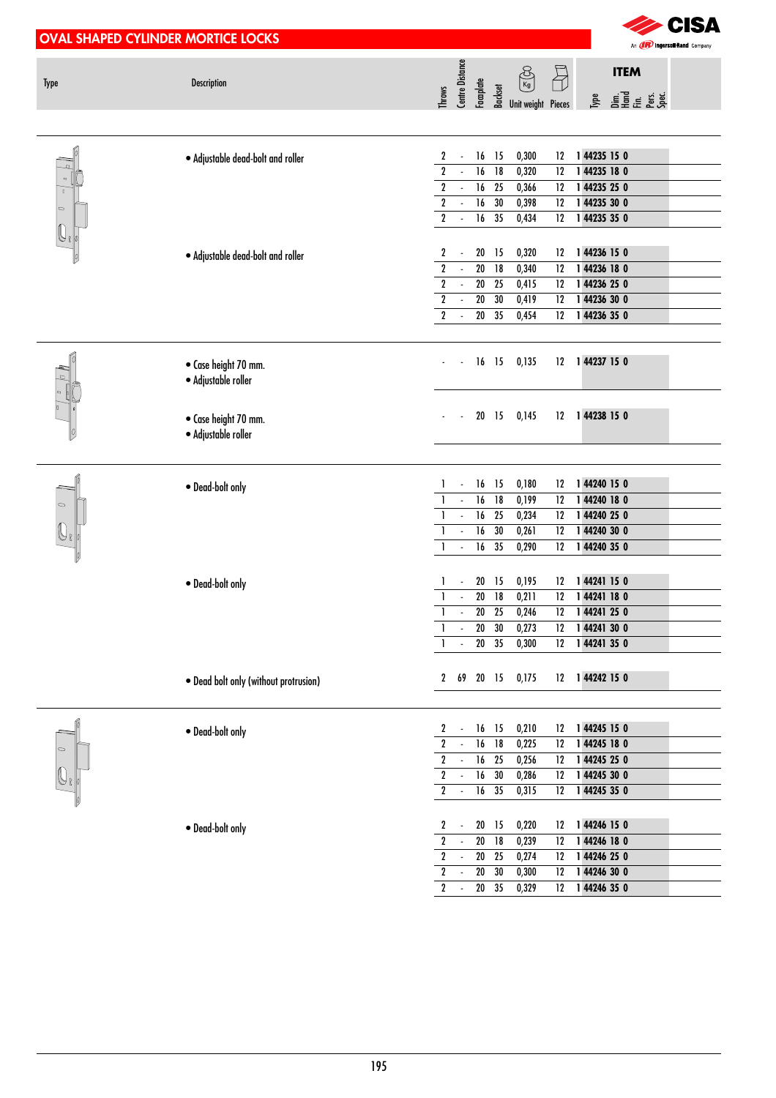|                               | <b>OVAL SHAPED CYLINDER MORTICE LOCKS</b>   | <b>CISA</b><br>An <b>(IR)</b> Ingersoll Rand Company                                                                                                                                                         |
|-------------------------------|---------------------------------------------|--------------------------------------------------------------------------------------------------------------------------------------------------------------------------------------------------------------|
| Type                          | <b>Description</b>                          | Centre Distance<br>Facaplate<br><b>ITEM</b><br>$\bigoplus$<br>$\bigotimes_{K\oplus}$<br>$\frac{1}{2}$ $\frac{1}{2}$ $\frac{1}{2}$ $\frac{1}{2}$ $\frac{1}{2}$ Unit weight Pieces<br>Throws                   |
|                               | · Adjustable dead-bolt and roller           | 15<br>0,300<br>144235 15 0<br>2<br>16<br>12                                                                                                                                                                  |
| $\blacksquare$                |                                             | $\mathbf 2$<br>$\overline{16}$<br>$\overline{18}$<br>144235 18 0<br>0,320<br>12                                                                                                                              |
| O                             |                                             | $\overline{2}$<br>16<br>144235 25 0<br>25<br>0,366<br>$12 \,$<br>$\overline{\phantom{a}}$                                                                                                                    |
| $\circ$                       |                                             | $\overline{2}$<br>16<br>30<br>144235 30 0<br>$\mathcal{L}_{\mathcal{A}}$<br>0,398<br>$12 \,$<br>$\overline{2}$                                                                                               |
| $\vert\!\!\!\vert\!\!\!\vert$ |                                             | $\overline{16}$<br>35<br>1 44235 35 0<br>0,434<br>12                                                                                                                                                         |
|                               |                                             | 2<br>$20\,$<br>15<br>0,320<br>1 44236 15 0<br>12<br>$\overline{\phantom{a}}$                                                                                                                                 |
|                               | · Adjustable dead-bolt and roller           | $\overline{\mathbf{2}}$<br>$\overline{20}$<br>0,340<br>18<br>12<br>1 44236 18 0                                                                                                                              |
|                               |                                             | $\overline{2}$<br>$\overline{20}$<br>0,415<br>144236 25 0<br>25<br>12                                                                                                                                        |
|                               |                                             | $\overline{\mathbf{r}}$<br>144236 30 0<br>$20\,$<br>30<br>0,419<br>12                                                                                                                                        |
|                               |                                             | $\overline{2}$<br>$\overline{20}$<br>1 44236 35 0<br>35<br>0,454<br>12                                                                                                                                       |
|                               | • Case height 70 mm.<br>· Adjustable roller | $16$ 15<br>0,135<br>12 1 44237 15 0                                                                                                                                                                          |
|                               | • Case height 70 mm.<br>· Adjustable roller | 20 15<br>144238 15 0<br>0,145<br>12                                                                                                                                                                          |
|                               |                                             |                                                                                                                                                                                                              |
|                               | · Dead-bolt only                            | 16 15<br>0,180<br>144240 15 0<br>12                                                                                                                                                                          |
| $\circ$                       |                                             | 16<br>18<br>0,199<br>144240 18 0<br>12                                                                                                                                                                       |
|                               |                                             | 144240 25 0<br>16<br>25<br>0,234<br>12<br>$\overline{\phantom{a}}$                                                                                                                                           |
|                               |                                             | 30<br>144240 30 0<br>16<br>0,261<br>$\overline{\phantom{a}}$<br>12<br>$\overline{35}$<br>1 44240 35 0<br>16<br>0,290<br>$\mathbf{I}$<br>12<br>$\overline{\phantom{a}}$                                       |
|                               |                                             |                                                                                                                                                                                                              |
|                               | • Dead-bolt only                            | 12 1 44241 15 0<br>20 15<br>0,195                                                                                                                                                                            |
|                               |                                             | 0,211<br>12 1 44241 18 0<br>$20$ 18                                                                                                                                                                          |
|                               |                                             | $20\,$<br>25<br>0,246<br>1 44241 25 0<br>12                                                                                                                                                                  |
|                               |                                             | ${\bf 20}$<br>30<br>1 44241 30 0<br>0,273<br>12<br>$\overline{\phantom{a}}$                                                                                                                                  |
|                               |                                             | $20\,$<br>35<br>1 44241 35 0<br>0,300<br>12<br>$\overline{\phantom{a}}$                                                                                                                                      |
|                               | . Dead bolt only (without protrusion)       | 1 44242 15 0<br>2 69 20 15<br>0,175<br>12                                                                                                                                                                    |
|                               |                                             |                                                                                                                                                                                                              |
|                               | · Dead-bolt only                            | 1 44245 15 0<br>0,210<br>12<br>2<br>16<br>15                                                                                                                                                                 |
| $\circ$                       |                                             | $\boldsymbol{2}$<br>$\overline{16}$<br>$\overline{18}$<br>0,225<br>12<br>1 44245 18 0                                                                                                                        |
|                               |                                             | $\overline{\mathbf{r}}$<br>$\overline{25}$<br>16<br>0,256<br>1 44245 25 0<br>12                                                                                                                              |
|                               |                                             | $\overline{\mathbf{2}}$<br>30<br>$\Box$<br>$16\,$<br>0,286<br>1 44245 30 0<br>12                                                                                                                             |
|                               |                                             | $\overline{\mathbf{2}}$<br>16<br>35<br>0,315<br>1 44245 35 0<br>12<br>$\overline{\phantom{a}}$                                                                                                               |
|                               |                                             |                                                                                                                                                                                                              |
|                               | · Dead-bolt only                            | 1 44246 15 0<br>$\boldsymbol{\mathsf{2}}$<br>$20\,$<br>15<br>0,220<br>12<br>$\overline{\phantom{a}}$<br>$\overline{20}$<br>$\boldsymbol{2}$<br>18<br>0,239<br>1 44246 18 0<br>12<br>$\overline{\phantom{a}}$ |
|                               |                                             | $\overline{\mathbf{r}}$<br>${\bf 20}$<br>25<br>0,274<br>1 44246 25 0<br>12<br>$\overline{\phantom{a}}$                                                                                                       |
|                               |                                             | $\boldsymbol{2}$<br>$\overline{20}$<br>30<br>0,300<br>1 44246 30 0<br>12<br>$\overline{\phantom{a}}$                                                                                                         |
|                               |                                             | $\overline{\mathbf{r}}$<br>$\overline{20}$<br>35<br>0,329<br>1 44246 35 0<br>12<br>$\sim$                                                                                                                    |